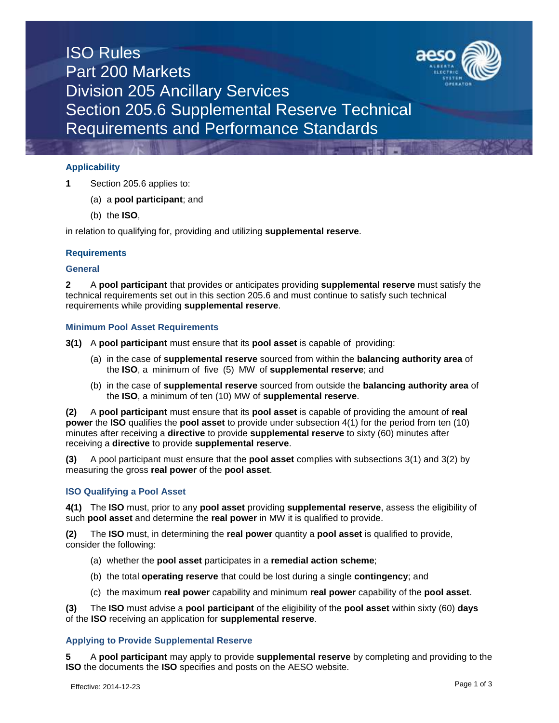

## **Applicability**

- **1** Section 205.6 applies to:
	- (a) a **pool participant**; and
	- (b) the **ISO**,

in relation to qualifying for, providing and utilizing **supplemental reserve**.

## **Requirements**

## **General**

**2** A **pool participant** that provides or anticipates providing **supplemental reserve** must satisfy the technical requirements set out in this section 205.6 and must continue to satisfy such technical requirements while providing **supplemental reserve**.

## **Minimum Pool Asset Requirements**

**3(1)** A **pool participant** must ensure that its **pool asset** is capable of providing:

- (a) in the case of **supplemental reserve** sourced from within the **balancing authority area** of the **ISO**, a minimum of five (5) MW of **supplemental reserve**; and
- (b) in the case of **supplemental reserve** sourced from outside the **balancing authority area** of the **ISO**, a minimum of ten (10) MW of **supplemental reserve**.

**(2)** A **pool participant** must ensure that its **pool asset** is capable of providing the amount of **real power** the **ISO** qualifies the **pool asset** to provide under subsection 4(1) for the period from ten (10) minutes after receiving a **directive** to provide **supplemental reserve** to sixty (60) minutes after receiving a **directive** to provide **supplemental reserve**.

**(3)** A pool participant must ensure that the **pool asset** complies with subsections 3(1) and 3(2) by measuring the gross **real power** of the **pool asset**.

# **ISO Qualifying a Pool Asset**

**4(1)** The **ISO** must, prior to any **pool asset** providing **supplemental reserve**, assess the eligibility of such **pool asset** and determine the **real power** in MW it is qualified to provide.

**(2)** The **ISO** must, in determining the **real power** quantity a **pool asset** is qualified to provide, consider the following:

- (a) whether the **pool asset** participates in a **remedial action scheme**;
- (b) the total **operating reserve** that could be lost during a single **contingency**; and
- (c) the maximum **real power** capability and minimum **real power** capability of the **pool asset**.

**(3)** The **ISO** must advise a **pool participant** of the eligibility of the **pool asset** within sixty (60) **days** of the **ISO** receiving an application for **supplemental reserve**.

# **Applying to Provide Supplemental Reserve**

**5** A **pool participant** may apply to provide **supplemental reserve** by completing and providing to the **ISO** the documents the **ISO** specifies and posts on the AESO website.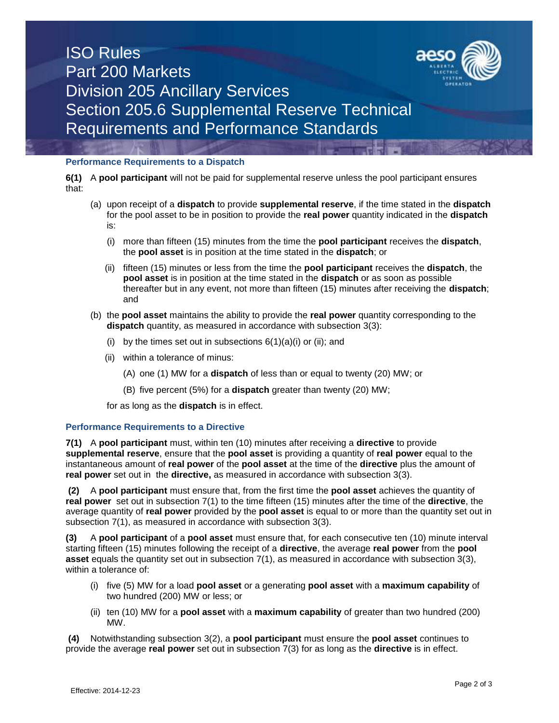



**6(1)** A **pool participant** will not be paid for supplemental reserve unless the pool participant ensures that:

- (a) upon receipt of a **dispatch** to provide **supplemental reserve**, if the time stated in the **dispatch**  for the pool asset to be in position to provide the **real power** quantity indicated in the **dispatch**  is:
	- (i) more than fifteen (15) minutes from the time the **pool participant** receives the **dispatch**, the **pool asset** is in position at the time stated in the **dispatch**; or
	- (ii) fifteen (15) minutes or less from the time the **pool participant** receives the **dispatch**, the **pool asset** is in position at the time stated in the **dispatch** or as soon as possible thereafter but in any event, not more than fifteen (15) minutes after receiving the **dispatch**; and
- (b) the **pool asset** maintains the ability to provide the **real power** quantity corresponding to the **dispatch** quantity, as measured in accordance with subsection 3(3):
	- (i) by the times set out in subsections  $6(1)(a)(i)$  or (ii); and
	- (ii) within a tolerance of minus:
		- (A) one (1) MW for a **dispatch** of less than or equal to twenty (20) MW; or
		- (B) five percent (5%) for a **dispatch** greater than twenty (20) MW;

for as long as the **dispatch** is in effect.

#### **Performance Requirements to a Directive**

**7(1)** A **pool participant** must, within ten (10) minutes after receiving a **directive** to provide **supplemental reserve**, ensure that the **pool asset** is providing a quantity of **real power** equal to the instantaneous amount of **real power** of the **pool asset** at the time of the **directive** plus the amount of **real power** set out in the **directive,** as measured in accordance with subsection 3(3).

**(2)** A **pool participant** must ensure that, from the first time the **pool asset** achieves the quantity of **real power** set out in subsection 7(1) to the time fifteen (15) minutes after the time of the **directive**, the average quantity of **real power** provided by the **pool asset** is equal to or more than the quantity set out in subsection 7(1), as measured in accordance with subsection 3(3).

**(3)** A **pool participant** of a **pool asset** must ensure that, for each consecutive ten (10) minute interval starting fifteen (15) minutes following the receipt of a **directive**, the average **real power** from the **pool asset** equals the quantity set out in subsection 7(1), as measured in accordance with subsection 3(3), within a tolerance of:

- (i) five (5) MW for a load **pool asset** or a generating **pool asset** with a **maximum capability** of two hundred (200) MW or less; or
- (ii) ten (10) MW for a **pool asset** with a **maximum capability** of greater than two hundred (200) MW.

**(4)** Notwithstanding subsection 3(2), a **pool participant** must ensure the **pool asset** continues to provide the average **real power** set out in subsection 7(3) for as long as the **directive** is in effect.